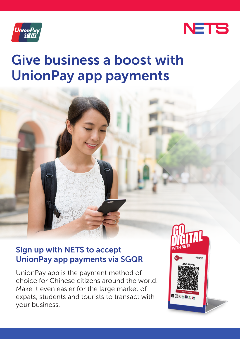



# Give business a boost with UnionPay app payments

### Sign up with NETS to accept UnionPay app payments via SGQR

UnionPay app is the payment method of choice for Chinese citizens around the world. Make it even easier for the large market of expats, students and tourists to transact with your business.

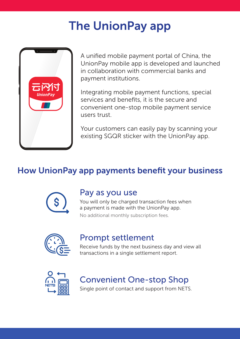# The UnionPay app



A unified mobile payment portal of China, the UnionPay mobile app is developed and launched in collaboration with commercial banks and payment institutions.

Integrating mobile payment functions, special services and benefits, it is the secure and convenient one-stop mobile payment service users trust.

Your customers can easily pay by scanning your existing SGQR sticker with the UnionPay app.

## How UnionPay app payments benefit your business



#### Pay as you use

You will only be charged transaction fees when a payment is made with the UnionPay app. No additional monthly subscription fees.



#### Prompt settlement

Receive funds by the next business day and view all transactions in a single settlement report.



## Convenient One-stop Shop

Single point of contact and support from NETS.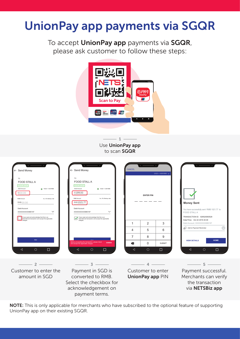## UnionPay app payments via SGQR

To accept UnionPay app payments via SGQR, please ask customer to follow these steps:



Use UnionPay app to scan SGQR 1

| ← Send Money<br>TO <sub>1</sub><br>FOOD STALL A<br><b>VERPED MERCHANT</b><br>SGD Amount<br>@ 15GD = 4.89 RMB<br>\$\$00.00<br><b>RAIR Amount</b><br>Inc. 5% Markup rate<br>RMB 00.00<br>Debit Account<br>$\checkmark$<br>XXXXXXXXXX880197<br>I have read and acknowledge that this is an<br>International transaction and accept the applicable | ← Send Money<br>TO.<br>FOOD STALL A<br><b>VERFIED MERCHAT</b><br>SGD Amount<br>@ 15GD = 4.89 RMB<br>s\$199.00<br><b>FOUR Amount</b><br>Inc. 5% Markup rate<br>RMB1021.77<br>Debit Account<br>$\checkmark$<br>XXXXXXXXXXAR0197<br>I have read and adknowledge that this is an<br>International transaction and accept the applicable | CANCEL<br>$1SGD - 4.89$ RMB $\vee$<br><b>ENTER PIN</b> |                                                  |             | <b>Money Sent</b><br>You have successfully sent RMB 1021.77 to<br>FOOD STALL A<br>TRANSACTION ID: 929520060529 |
|------------------------------------------------------------------------------------------------------------------------------------------------------------------------------------------------------------------------------------------------------------------------------------------------------------------------------------------------|-------------------------------------------------------------------------------------------------------------------------------------------------------------------------------------------------------------------------------------------------------------------------------------------------------------------------------------|--------------------------------------------------------|--------------------------------------------------|-------------|----------------------------------------------------------------------------------------------------------------|
| charges.                                                                                                                                                                                                                                                                                                                                       | charges.                                                                                                                                                                                                                                                                                                                            | $\overline{1}$                                         | $\overline{2}$                                   | 3           | Date/Time: Oct 22 2019 20:49<br>Debit Account: XXXXXXXXX880197                                                 |
|                                                                                                                                                                                                                                                                                                                                                |                                                                                                                                                                                                                                                                                                                                     | $\Delta$                                               | 5                                                | 6           | (+<br>Add to Payment Reminder                                                                                  |
|                                                                                                                                                                                                                                                                                                                                                |                                                                                                                                                                                                                                                                                                                                     | $\overline{7}$                                         | 8                                                | 9           |                                                                                                                |
| PAY                                                                                                                                                                                                                                                                                                                                            | Before proceeding the transaction, please check<br><b>DIRMIRR</b><br>and accept the applicable charges                                                                                                                                                                                                                              | $\bullet$                                              | <b>VIEW DETAILS</b><br>$\Omega$<br><b>SUBMIT</b> | <b>HOME</b> |                                                                                                                |
| $\circ$<br>П<br>◁                                                                                                                                                                                                                                                                                                                              | O<br>П<br>◁                                                                                                                                                                                                                                                                                                                         | ◁                                                      | $\circ$                                          | $\Box$      | ◁<br>О<br>$\Box$                                                                                               |
| Customer to enter the<br>amount in SGD                                                                                                                                                                                                                                                                                                         | 3<br>Payment in SGD is<br>converted to RMB.<br>Select the checkbox for<br>acknowledgement on                                                                                                                                                                                                                                        |                                                        | Customer to enter<br>UnionPay app PIN            |             | Payment successful.<br>Merchants can verify<br>the transaction<br>via NETSBiz app                              |

NOTE: This is only applicable for merchants who have subscribed to the optional feature of supporting UnionPay app on their existing SGQR.

payment terms.